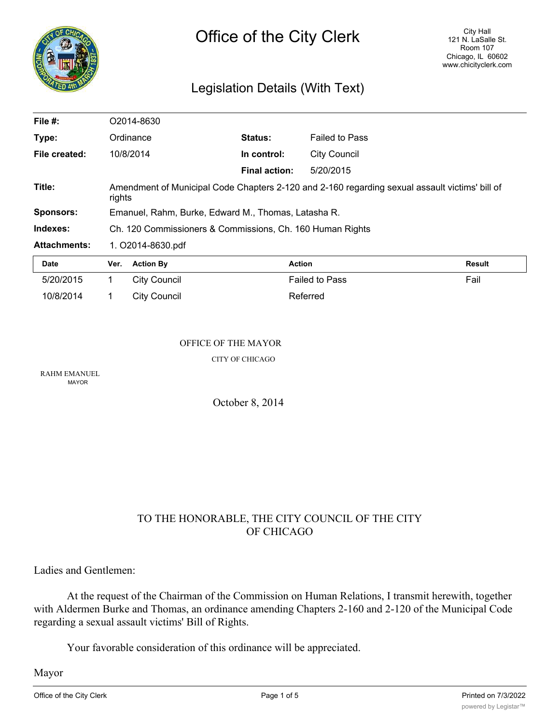

# Legislation Details (With Text)

| File $#$ :          | O2014-8630                                                                                               |                  |                      |                       |        |
|---------------------|----------------------------------------------------------------------------------------------------------|------------------|----------------------|-----------------------|--------|
| Type:               | Ordinance                                                                                                |                  | Status:              | <b>Failed to Pass</b> |        |
| File created:       | 10/8/2014                                                                                                |                  | In control:          | <b>City Council</b>   |        |
|                     |                                                                                                          |                  | <b>Final action:</b> | 5/20/2015             |        |
| Title:              | Amendment of Municipal Code Chapters 2-120 and 2-160 regarding sexual assault victims' bill of<br>rights |                  |                      |                       |        |
| <b>Sponsors:</b>    | Emanuel, Rahm, Burke, Edward M., Thomas, Latasha R.                                                      |                  |                      |                       |        |
| Indexes:            | Ch. 120 Commissioners & Commissions, Ch. 160 Human Rights                                                |                  |                      |                       |        |
| <b>Attachments:</b> | 1. O2014-8630.pdf                                                                                        |                  |                      |                       |        |
| Date                | Ver.                                                                                                     | <b>Action By</b> |                      | <b>Action</b>         | Result |
| 5/20/2015           |                                                                                                          | City Council     |                      | <b>Failed to Pass</b> | Fail   |

#### OFFICE OF THE MAYOR

10/8/2014 1 City Council 1 Referred

CITY OF CHICAGO

RAHM EMANUEL MAYOR

October 8, 2014

# TO THE HONORABLE, THE CITY COUNCIL OF THE CITY OF CHICAGO

Ladies and Gentlemen:

At the request of the Chairman of the Commission on Human Relations, I transmit herewith, together with Aldermen Burke and Thomas, an ordinance amending Chapters 2-160 and 2-120 of the Municipal Code regarding a sexual assault victims' Bill of Rights.

Your favorable consideration of this ordinance will be appreciated.

Mayor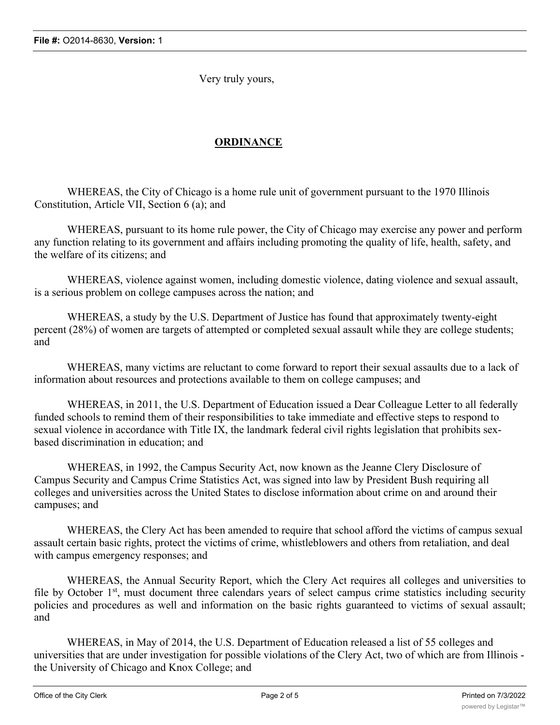Very truly yours,

# **ORDINANCE**

WHEREAS, the City of Chicago is a home rule unit of government pursuant to the 1970 Illinois Constitution, Article VII, Section 6 (a); and

WHEREAS, pursuant to its home rule power, the City of Chicago may exercise any power and perform any function relating to its government and affairs including promoting the quality of life, health, safety, and the welfare of its citizens; and

WHEREAS, violence against women, including domestic violence, dating violence and sexual assault, is a serious problem on college campuses across the nation; and

WHEREAS, a study by the U.S. Department of Justice has found that approximately twenty-eight percent (28%) of women are targets of attempted or completed sexual assault while they are college students; and

WHEREAS, many victims are reluctant to come forward to report their sexual assaults due to a lack of information about resources and protections available to them on college campuses; and

WHEREAS, in 2011, the U.S. Department of Education issued a Dear Colleague Letter to all federally funded schools to remind them of their responsibilities to take immediate and effective steps to respond to sexual violence in accordance with Title IX, the landmark federal civil rights legislation that prohibits sexbased discrimination in education; and

WHEREAS, in 1992, the Campus Security Act, now known as the Jeanne Clery Disclosure of Campus Security and Campus Crime Statistics Act, was signed into law by President Bush requiring all colleges and universities across the United States to disclose information about crime on and around their campuses; and

WHEREAS, the Clery Act has been amended to require that school afford the victims of campus sexual assault certain basic rights, protect the victims of crime, whistleblowers and others from retaliation, and deal with campus emergency responses; and

WHEREAS, the Annual Security Report, which the Clery Act requires all colleges and universities to file by October 1<sup>st</sup>, must document three calendars years of select campus crime statistics including security policies and procedures as well and information on the basic rights guaranteed to victims of sexual assault; and

WHEREAS, in May of 2014, the U.S. Department of Education released a list of 55 colleges and universities that are under investigation for possible violations of the Clery Act, two of which are from Illinois the University of Chicago and Knox College; and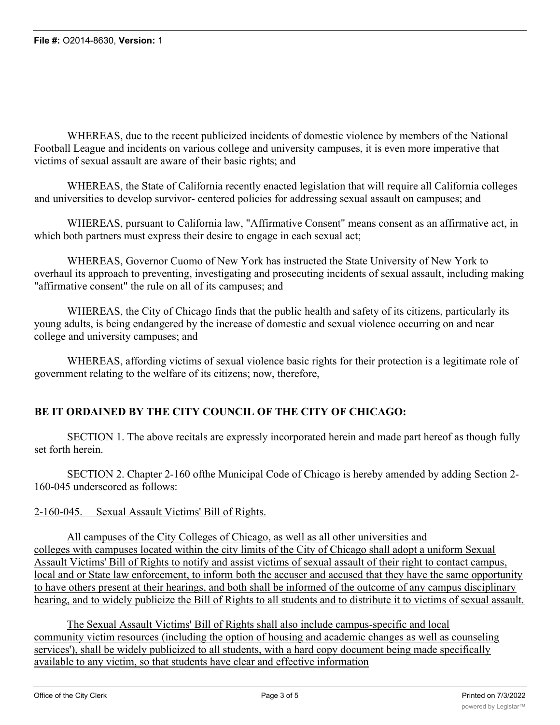WHEREAS, due to the recent publicized incidents of domestic violence by members of the National Football League and incidents on various college and university campuses, it is even more imperative that victims of sexual assault are aware of their basic rights; and

WHEREAS, the State of California recently enacted legislation that will require all California colleges and universities to develop survivor- centered policies for addressing sexual assault on campuses; and

WHEREAS, pursuant to California law, "Affirmative Consent" means consent as an affirmative act, in which both partners must express their desire to engage in each sexual act;

WHEREAS, Governor Cuomo of New York has instructed the State University of New York to overhaul its approach to preventing, investigating and prosecuting incidents of sexual assault, including making "affirmative consent" the rule on all of its campuses; and

WHEREAS, the City of Chicago finds that the public health and safety of its citizens, particularly its young adults, is being endangered by the increase of domestic and sexual violence occurring on and near college and university campuses; and

WHEREAS, affording victims of sexual violence basic rights for their protection is a legitimate role of government relating to the welfare of its citizens; now, therefore,

## **BE IT ORDAINED BY THE CITY COUNCIL OF THE CITY OF CHICAGO:**

SECTION 1. The above recitals are expressly incorporated herein and made part hereof as though fully set forth herein.

SECTION 2. Chapter 2-160 ofthe Municipal Code of Chicago is hereby amended by adding Section 2- 160-045 underscored as follows:

#### 2-160-045. Sexual Assault Victims' Bill of Rights.

All campuses of the City Colleges of Chicago, as well as all other universities and colleges with campuses located within the city limits of the City of Chicago shall adopt a uniform Sexual Assault Victims' Bill of Rights to notify and assist victims of sexual assault of their right to contact campus, local and or State law enforcement, to inform both the accuser and accused that they have the same opportunity to have others present at their hearings, and both shall be informed of the outcome of any campus disciplinary hearing, and to widely publicize the Bill of Rights to all students and to distribute it to victims of sexual assault.

The Sexual Assault Victims' Bill of Rights shall also include campus-specific and local community victim resources (including the option of housing and academic changes as well as counseling services'), shall be widely publicized to all students, with a hard copy document being made specifically available to any victim, so that students have clear and effective information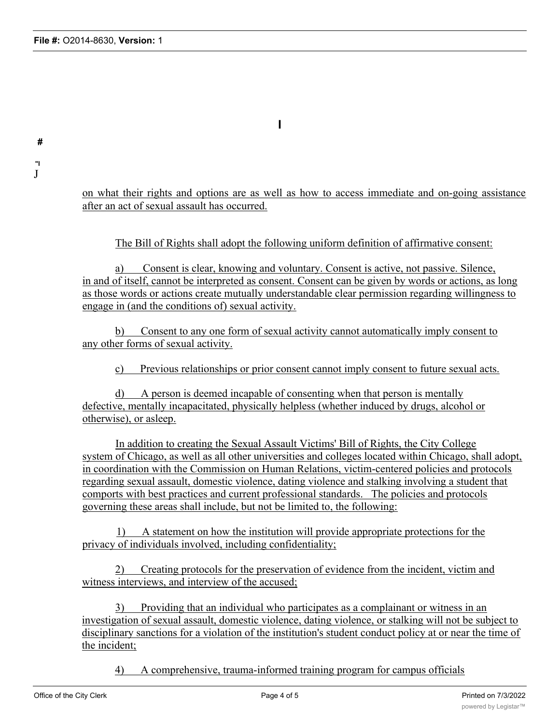**#**

**"I** J

**I**

on what their rights and options are as well as how to access immediate and on-going assistance after an act of sexual assault has occurred.

The Bill of Rights shall adopt the following uniform definition of affirmative consent:

a) Consent is clear, knowing and voluntary. Consent is active, not passive. Silence, in and of itself, cannot be interpreted as consent. Consent can be given by words or actions, as long as those words or actions create mutually understandable clear permission regarding willingness to engage in (and the conditions of) sexual activity.

b) Consent to any one form of sexual activity cannot automatically imply consent to any other forms of sexual activity.

c) Previous relationships or prior consent cannot imply consent to future sexual acts.

d) A person is deemed incapable of consenting when that person is mentally defective, mentally incapacitated, physically helpless (whether induced by drugs, alcohol or otherwise), or asleep.

In addition to creating the Sexual Assault Victims' Bill of Rights, the City College system of Chicago, as well as all other universities and colleges located within Chicago, shall adopt, in coordination with the Commission on Human Relations, victim-centered policies and protocols regarding sexual assault, domestic violence, dating violence and stalking involving a student that comports with best practices and current professional standards. The policies and protocols governing these areas shall include, but not be limited to, the following:

1) A statement on how the institution will provide appropriate protections for the privacy of individuals involved, including confidentiality;

2) Creating protocols for the preservation of evidence from the incident, victim and witness interviews, and interview of the accused;

3) Providing that an individual who participates as a complainant or witness in an investigation of sexual assault, domestic violence, dating violence, or stalking will not be subject to disciplinary sanctions for a violation of the institution's student conduct policy at or near the time of the incident;

involved in investigating and adjudicating sexual assault, domestic violence, dating violence and

4) A comprehensive, trauma-informed training program for campus officials